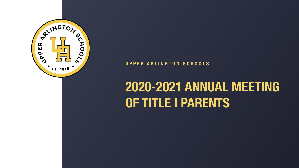## **2020-2021 ANNUAL MEETING OF TITLE I PARENTS**





#### **UPPER ARLINGTON SCHOOLS**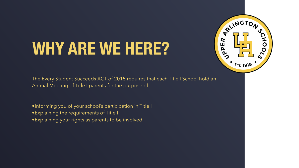# **WHY ARE WE HERE?**

The Every Student Succeeds ACT of 2015 requires that each Title I School hold an Annual Meeting of Title I parents for the purpose of

- •Informing you of your school's participation in Title I
- •Explaining the requirements of Title I
- •Explaining your rights as parents to be involved

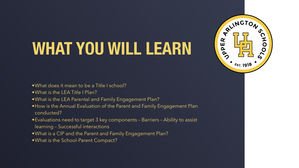# **WHAT YOU WILL LEARN**

- •What does it mean to be a Title I school?
- •What is the LEA Title I Plan?
- •What is the LEA Parental and Family Engagement Plan?
- •How is the Annual Evaluation of the Parent and Family Engagement Plan conducted?
- •Evaluations need to target 3 key components Barriers Ability to assist learning – Successful interactions
- •What is a CIP and the Parent and Family Engagement Plan?
- •What is the School-Parent Compact?

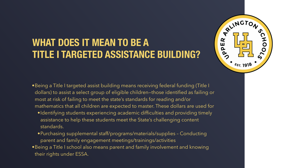#### **WHAT DOES IT MEAN TO BE A TITLE I TARGETED ASSISTANCE BUILDING?**

- •Being a Title I targeted assist building means receiving federal funding (Title I dollars) to assist a select group of eligible children—those identified as failing or most at risk of failing to meet the state's standards for reading and/or mathematics that all children are expected to master. These dollars are used for
	- •Identifying students experiencing academic difficulties and providing timely assistance to help these students meet the State's challenging content standards.
	- •Purchasing supplemental staff/programs/materials/supplies Conducting parent and family engagement meetings/trainings/activities
- •Being a Title I school also means parent and family involvement and knowing their rights under ESSA.

![](_page_3_Picture_5.jpeg)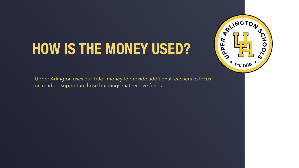## **HOW IS THE MONEY USED?**

Upper Arlington uses our Title I money to provide additional teachers to focus on reading support in those buildings that receive funds.

![](_page_4_Picture_2.jpeg)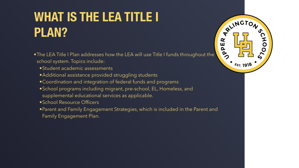## **WHAT IS THE LEA TITLE I PLAN?**

- •The LEA Title I Plan addresses how the LEA will use Title I funds throughout the school system. Topics include:
	- •Student academic assessments
	- •Additional assistance provided struggling students
	- •Coordination and integration of federal funds and programs
	- •School programs including migrant, pre-school, EL, Homeless, and supplemental educational services as applicable.
	- •School Resource Officers
	- •Parent and Family Engagement Strategies, which is included in the Parent and Family Engagement Plan.

![](_page_5_Picture_10.jpeg)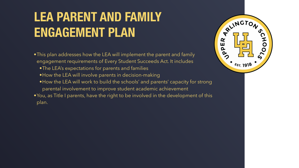## **LEA PARENT AND FAMILY ENGAGEMENT PLAN**

- •This plan addresses how the LEA will implement the parent and family engagement requirements of Every Student Succeeds Act. It includes •The LEA's expectations for parents and families • How the LEA will involve parents in decision-making •How the LEA will work to build the schools' and parents' capacity for strong parental involvement to improve student academic achievement
- •You, as Title I parents, have the right to be involved in the development of this plan.

![](_page_6_Picture_3.jpeg)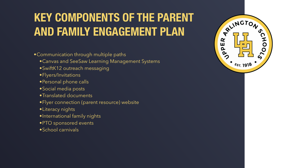#### **KEY COMPONENTS OF THE PARENT AND FAMILY ENGAGEMENT PLAN**

•Communication through multiple paths

- •Canvas and SeeSaw Learning Management Systems
- •SwiftK12 outreach messaging
- •Flyers/Invitations
- •Personal phone calls
- •Social media posts
- •Translated documents
- •Flyer connection (parent resource) website
- •Literacy nights
- •International family nights
- •PTO sponsored events
- •School carnivals

![](_page_7_Picture_14.jpeg)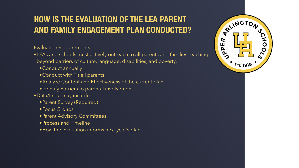#### **HOW IS THE EVALUATION OF THE LEA PARENT AND FAMILY ENGAGEMENT PLAN CONDUCTED?**

Evaluation Requirements

- •LEAs and schools must actively outreach to all parents and families reaching beyond barriers of culture, language, disabilities, and poverty.
	- •Conduct annually
	- •Conduct with Title I parents
	- •Analyze Content and Effectiveness of the current plan
	- •Identify Barriers to parental involvement
- •Data/Input may include
	- •Parent Survey (Required)
	- •Focus Groups
	- •Parent Advisory Committees
	- •Process and Timeline
	- •How the evaluation informs next year's plan

![](_page_8_Picture_14.jpeg)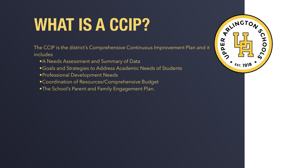# **WHAT IS A CCIP?**

The CCIP is the district's Comprehensive Continuous Improvement Plan and it includes

- •A Needs Assessment and Summary of Data
- •Goals and Strategies to Address Academic Needs of Students
- •Professional Development Needs
- •Coordination of Resources/Comprehensive Budget
- •The School's Parent and Family Engagement Plan.

![](_page_9_Picture_7.jpeg)

![](_page_9_Picture_10.jpeg)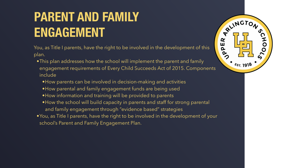### **PARENT AND FAMILY ENGAGEMENT**

You, as Title I parents, have the right to be involved in the development of this plan.

- •This plan addresses how the school will implement the parent and family engagement requirements of Every Child Succeeds Act of 2015. Components include
	- •How parents can be involved in decision-making and activities
	- •How parental and family engagement funds are being used
	- •How information and training will be provided to parents
	- •How the school will build capacity in parents and staff for strong parental and family engagement through "evidence based" strategies
- •You, as Title I parents, have the right to be involved in the development of your school's Parent and Family Engagement Plan.

![](_page_10_Picture_9.jpeg)

![](_page_10_Picture_10.jpeg)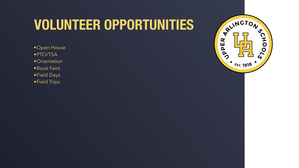## **VOLUNTEER OPPORTUNITIES**

- •Open House
- •PTO/TSA
- •Orientation
- •Book Fairs
- •Field Days
- •Field Trips

![](_page_11_Picture_7.jpeg)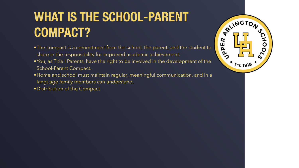### **WHAT IS THE SCHOOL-PARENT COMPACT?**

- •The compact is a commitment from the school, the parent, and the student to share in the responsibility for improved academic achievement.
- •You, as Title I Parents, have the right to be involved in the development of the School-Parent Compact.
- •Home and school must maintain regular, meaningful communication, and in a language family members can understand.
- •Distribution of the Compact

![](_page_12_Picture_5.jpeg)